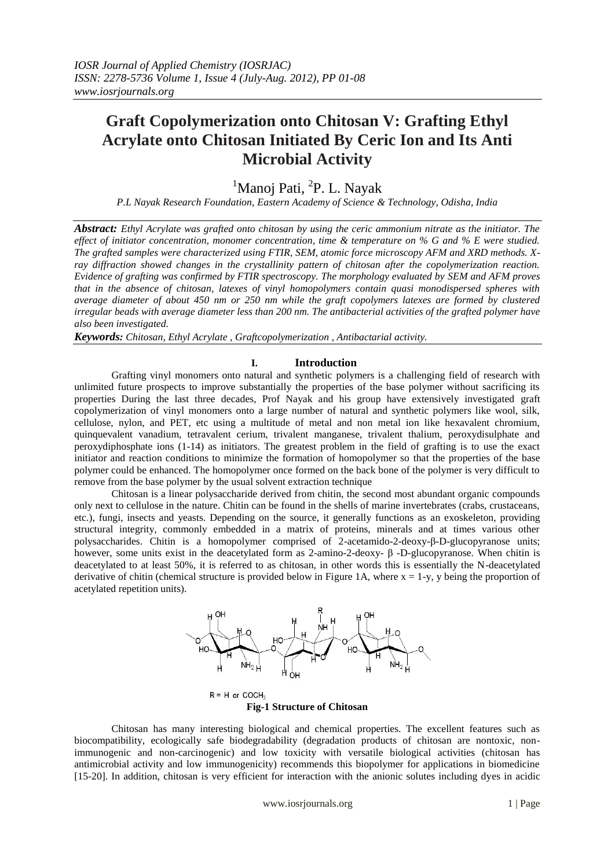# **Graft Copolymerization onto Chitosan V: Grafting Ethyl Acrylate onto Chitosan Initiated By Ceric Ion and Its Anti Microbial Activity**

<sup>1</sup>Manoj Pati, <sup>2</sup>P. L. Nayak

*P.L Nayak Research Foundation, Eastern Academy of Science & Technology, Odisha, India*

*Abstract: Ethyl Acrylate was grafted onto chitosan by using the ceric ammonium nitrate as the initiator. The effect of initiator concentration, monomer concentration, time & temperature on % G and % E were studied. The grafted samples were characterized using FTIR, SEM, atomic force microscopy AFM and XRD methods. Xray diffraction showed changes in the crystallinity pattern of chitosan after the copolymerization reaction. Evidence of grafting was confirmed by FTIR spectroscopy. The morphology evaluated by SEM and AFM proves that in the absence of chitosan, latexes of vinyl homopolymers contain quasi monodispersed spheres with average diameter of about 450 nm or 250 nm while the graft copolymers latexes are formed by clustered irregular beads with average diameter less than 200 nm. The antibacterial activities of the grafted polymer have also been investigated.*

*Keywords: Chitosan, Ethyl Acrylate , Graftcopolymerization , Antibactarial activity.*

### **I. Introduction**

Grafting vinyl monomers onto natural and synthetic polymers is a challenging field of research with unlimited future prospects to improve substantially the properties of the base polymer without sacrificing its properties During the last three decades, Prof Nayak and his group have extensively investigated graft copolymerization of vinyl monomers onto a large number of natural and synthetic polymers like wool, silk, cellulose, nylon, and PET, etc using a multitude of metal and non metal ion like hexavalent chromium, quinquevalent vanadium, tetravalent cerium, trivalent manganese, trivalent thalium, peroxydisulphate and peroxydiphosphate ions (1-14) as initiators. The greatest problem in the field of grafting is to use the exact initiator and reaction conditions to minimize the formation of homopolymer so that the properties of the base polymer could be enhanced. The homopolymer once formed on the back bone of the polymer is very difficult to remove from the base polymer by the usual solvent extraction technique

Chitosan is a linear polysaccharide derived from chitin, the second most abundant organic compounds only next to cellulose in the nature. Chitin can be found in the shells of marine invertebrates (crabs, crustaceans, etc.), fungi, insects and yeasts. Depending on the source, it generally functions as an exoskeleton, providing structural integrity, commonly embedded in a matrix of proteins, minerals and at times various other polysaccharides. Chitin is a homopolymer comprised of 2-acetamido-2-deoxy-β-D-glucopyranose units; however, some units exist in the deacetylated form as 2-amino-2-deoxy- β -D-glucopyranose. When chitin is deacetylated to at least 50%, it is referred to as chitosan, in other words this is essentially the N-deacetylated derivative of chitin (chemical structure is provided below in Figure 1A, where  $x = 1-y$ , y being the proportion of acetylated repetition units).



**Fig-1 Structure of Chitosan**

Chitosan has many interesting biological and chemical properties. The excellent features such as biocompatibility, ecologically safe biodegradability (degradation products of chitosan are nontoxic, nonimmunogenic and non-carcinogenic) and low toxicity with versatile biological activities (chitosan has antimicrobial activity and low immunogenicity) recommends this biopolymer for applications in biomedicine [15-20]. In addition, chitosan is very efficient for interaction with the anionic solutes including dyes in acidic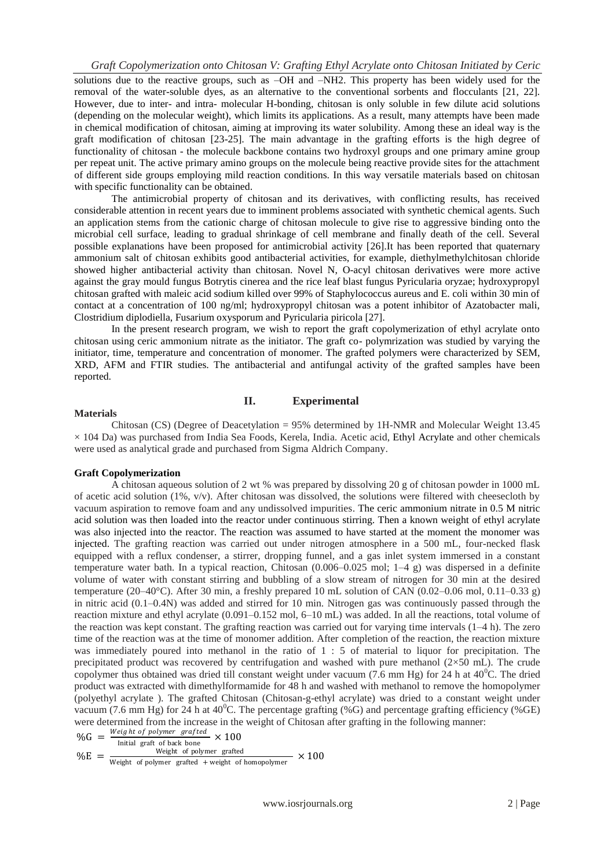solutions due to the reactive groups, such as –OH and –NH2. This property has been widely used for the removal of the water-soluble dyes, as an alternative to the conventional sorbents and flocculants [21, 22]. However, due to inter- and intra- molecular H-bonding, chitosan is only soluble in few dilute acid solutions (depending on the molecular weight), which limits its applications. As a result, many attempts have been made in chemical modification of chitosan, aiming at improving its water solubility. Among these an ideal way is the graft modification of chitosan [23-25]. The main advantage in the grafting efforts is the high degree of functionality of chitosan - the molecule backbone contains two hydroxyl groups and one primary amine group per repeat unit. The active primary amino groups on the molecule being reactive provide sites for the attachment of different side groups employing mild reaction conditions. In this way versatile materials based on chitosan with specific functionality can be obtained.

The antimicrobial property of chitosan and its derivatives, with conflicting results, has received considerable attention in recent years due to imminent problems associated with synthetic chemical agents. Such an application stems from the cationic charge of chitosan molecule to give rise to aggressive binding onto the microbial cell surface, leading to gradual shrinkage of cell membrane and finally death of the cell. Several possible explanations have been proposed for antimicrobial activity [26].It has been reported that quaternary ammonium salt of chitosan exhibits good antibacterial activities, for example, diethylmethylchitosan chloride showed higher antibacterial activity than chitosan. Novel N, O-acyl chitosan derivatives were more active against the gray mould fungus Botrytis cinerea and the rice leaf blast fungus Pyricularia oryzae; hydroxypropyl chitosan grafted with maleic acid sodium killed over 99% of Staphylococcus aureus and E. coli within 30 min of contact at a concentration of 100 ng/ml; hydroxypropyl chitosan was a potent inhibitor of Azatobacter mali, Clostridium diplodiella, Fusarium oxysporum and Pyricularia piricola [27].

In the present research program, we wish to report the graft copolymerization of ethyl acrylate onto chitosan using ceric ammonium nitrate as the initiator. The graft co- polymrization was studied by varying the initiator, time, temperature and concentration of monomer. The grafted polymers were characterized by SEM, XRD, AFM and FTIR studies. The antibacterial and antifungal activity of the grafted samples have been reported.

# **II. Experimental**

#### **Materials**

Chitosan (CS) (Degree of Deacetylation = 95% determined by 1H-NMR and Molecular Weight 13.45  $\times$  104 Da) was purchased from India Sea Foods, Kerela, India. Acetic acid, Ethyl Acrylate and other chemicals were used as analytical grade and purchased from Sigma Aldrich Company.

#### **Graft Copolymerization**

A chitosan aqueous solution of 2 wt % was prepared by dissolving 20 g of chitosan powder in 1000 mL of acetic acid solution (1%, v/v). After chitosan was dissolved, the solutions were filtered with cheesecloth by vacuum aspiration to remove foam and any undissolved impurities. The ceric ammonium nitrate in 0.5 M nitric acid solution was then loaded into the reactor under continuous stirring. Then a known weight of ethyl acrylate was also injected into the reactor. The reaction was assumed to have started at the moment the monomer was injected. The grafting reaction was carried out under nitrogen atmosphere in a 500 mL, four-necked flask equipped with a reflux condenser, a stirrer, dropping funnel, and a gas inlet system immersed in a constant temperature water bath. In a typical reaction, Chitosan (0.006–0.025 mol; 1–4 g) was dispersed in a definite volume of water with constant stirring and bubbling of a slow stream of nitrogen for 30 min at the desired temperature (20–40°C). After 30 min, a freshly prepared 10 mL solution of CAN (0.02–0.06 mol, 0.11–0.33 g) in nitric acid (0.1–0.4N) was added and stirred for 10 min. Nitrogen gas was continuously passed through the reaction mixture and ethyl acrylate (0.091–0.152 mol, 6–10 mL) was added. In all the reactions, total volume of the reaction was kept constant. The grafting reaction was carried out for varying time intervals (1–4 h). The zero time of the reaction was at the time of monomer addition. After completion of the reaction, the reaction mixture was immediately poured into methanol in the ratio of 1 : 5 of material to liquor for precipitation. The precipitated product was recovered by centrifugation and washed with pure methanol  $(2\times50 \text{ mL})$ . The crude copolymer thus obtained was dried till constant weight under vacuum (7.6 mm Hg) for 24 h at  $40^{\circ}$ C. The dried product was extracted with dimethylformamide for 48 h and washed with methanol to remove the homopolymer (polyethyl acrylate ). The grafted Chitosan (Chitosan-g-ethyl acrylate) was dried to a constant weight under vacuum (7.6 mm Hg) for 24 h at  $40^{\circ}$ C. The percentage grafting (%G) and percentage grafting efficiency (%GE) were determined from the increase in the weight of Chitosan after grafting in the following manner:

 $\%G = \frac{Weight of polymer \ grafted}{width \ gth} \times 100$ Initial graft of back bone  $%E =$ Weight of polymer grafted  $- \times 100$ 

Weight of polymer grafted + weight of homopolymer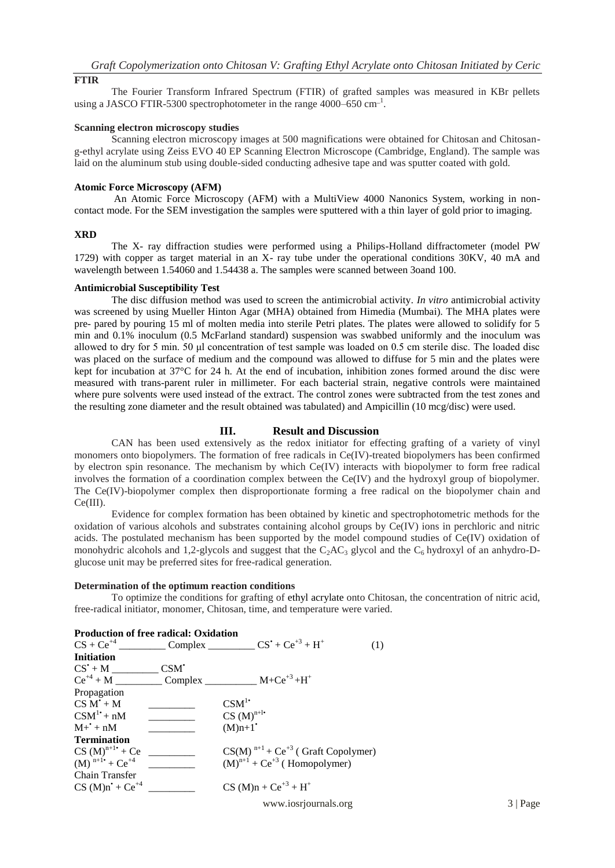# **FTIR**

The Fourier Transform Infrared Spectrum (FTIR) of grafted samples was measured in KBr pellets using a JASCO FTIR-5300 spectrophotometer in the range  $4000-650$  cm<sup>-1</sup>.

### **Scanning electron microscopy studies**

Scanning electron microscopy images at 500 magnifications were obtained for Chitosan and Chitosang-ethyl acrylate using Zeiss EVO 40 EP Scanning Electron Microscope (Cambridge, England). The sample was laid on the aluminum stub using double-sided conducting adhesive tape and was sputter coated with gold.

### **Atomic Force Microscopy (AFM)**

An Atomic Force Microscopy (AFM) with a MultiView 4000 Nanonics System, working in noncontact mode. For the SEM investigation the samples were sputtered with a thin layer of gold prior to imaging.

# **XRD**

The X- ray diffraction studies were performed using a Philips-Holland diffractometer (model PW 1729) with copper as target material in an X- ray tube under the operational conditions 30KV, 40 mA and wavelength between 1.54060 and 1.54438 a. The samples were scanned between 3oand 100.

# **Antimicrobial Susceptibility Test**

The disc diffusion method was used to screen the antimicrobial activity. *In vitro* antimicrobial activity was screened by using Mueller Hinton Agar (MHA) obtained from Himedia (Mumbai). The MHA plates were pre- pared by pouring 15 ml of molten media into sterile Petri plates. The plates were allowed to solidify for 5 min and 0.1% inoculum (0.5 McFarland standard) suspension was swabbed uniformly and the inoculum was allowed to dry for 5 min. 50 μl concentration of test sample was loaded on 0.5 cm sterile disc. The loaded disc was placed on the surface of medium and the compound was allowed to diffuse for 5 min and the plates were kept for incubation at 37°C for 24 h. At the end of incubation, inhibition zones formed around the disc were measured with trans-parent ruler in millimeter. For each bacterial strain, negative controls were maintained where pure solvents were used instead of the extract. The control zones were subtracted from the test zones and the resulting zone diameter and the result obtained was tabulated) and Ampicillin (10 mcg/disc) were used.

## **III. Result and Discussion**

CAN has been used extensively as the redox initiator for effecting grafting of a variety of vinyl monomers onto biopolymers. The formation of free radicals in Ce(IV)-treated biopolymers has been confirmed by electron spin resonance. The mechanism by which Ce(IV) interacts with biopolymer to form free radical involves the formation of a coordination complex between the Ce(IV) and the hydroxyl group of biopolymer. The Ce(IV)-biopolymer complex then disproportionate forming a free radical on the biopolymer chain and Ce(III).

Evidence for complex formation has been obtained by kinetic and spectrophotometric methods for the oxidation of various alcohols and substrates containing alcohol groups by Ce(IV) ions in perchloric and nitric acids. The postulated mechanism has been supported by the model compound studies of Ce(IV) oxidation of monohydric alcohols and 1,2-glycols and suggest that the  $C_2AC_3$  glycol and the  $C_6$  hydroxyl of an anhydro-Dglucose unit may be preferred sites for free-radical generation.

# **Determination of the optimum reaction conditions**

To optimize the conditions for grafting of ethyl acrylate onto Chitosan, the concentration of nitric acid, free-radical initiator, monomer, Chitosan, time, and temperature were varied.

| Production of free radical: Oxidation                |                 |                                                    |
|------------------------------------------------------|-----------------|----------------------------------------------------|
|                                                      |                 | (1)                                                |
| <b>Initiation</b>                                    |                 |                                                    |
| $CS'+M$                                              | $CSM^{\dagger}$ |                                                    |
| $Ce^{+4} + M$                                        | $\Box$ Complex  | $M + Ce^{+3} + H^+$                                |
| Propagation                                          |                 |                                                    |
| $CS M + M$                                           |                 | CSM <sup>1</sup>                                   |
| $CSM^1$ <sup>+</sup> + nM                            |                 | $CS(M)^{n+l^*}$                                    |
| $M^+ + nM$                                           |                 | $(M)$ n+1 <sup>*</sup>                             |
| Termination                                          |                 |                                                    |
| $CS (M)^{n+1}$ <sup>+</sup> + Ce                     |                 | $CS(M)^{n+1}$ + Ce <sup>+3</sup> (Graft Copolymer) |
| $(M)$ <sup>n+1</sup> <sup>+</sup> + Ce <sup>+4</sup> |                 | $(M)^{n+1}$ + Ce <sup>+3</sup> (Homopolymer)       |
| <b>Chain Transfer</b>                                |                 |                                                    |
| $CS (M)n + Ce^{+4}$                                  |                 | $CS (M)n + Ce^{+3} + H^+$                          |
|                                                      |                 |                                                    |

www.iosrjournals.org 3 | Page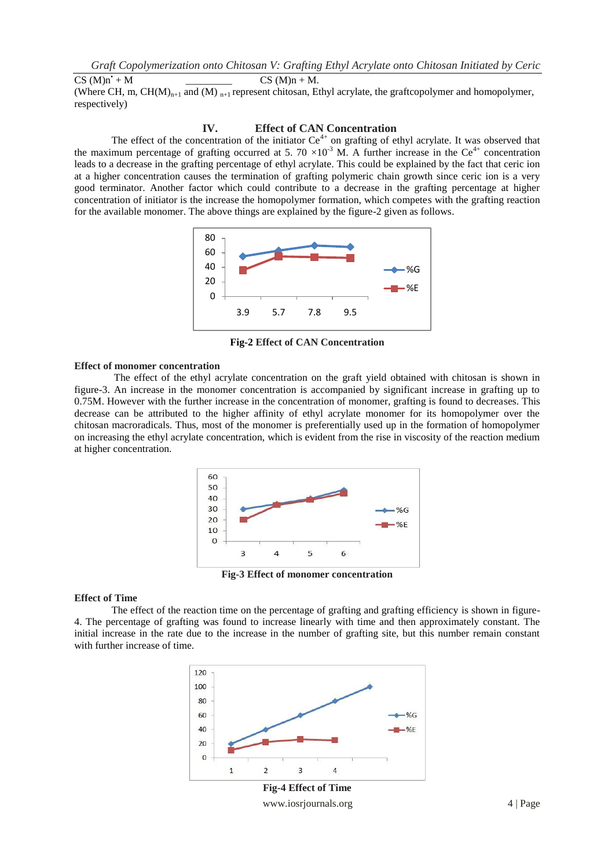$CS (M)n + M$ .

(Where CH, m,  $CH(M)_{n+1}$  and (M)  $_{n+1}$  represent chitosan, Ethyl acrylate, the graftcopolymer and homopolymer, respectively)

## **IV. Effect of CAN Concentration**

The effect of the concentration of the initiator  $Ce<sup>4+</sup>$  on grafting of ethyl acrylate. It was observed that the maximum percentage of grafting occurred at 5. 70  $\times$ 10<sup>-3</sup> M. A further increase in the Ce<sup>4+</sup> concentration leads to a decrease in the grafting percentage of ethyl acrylate. This could be explained by the fact that ceric ion at a higher concentration causes the termination of grafting polymeric chain growth since ceric ion is a very good terminator. Another factor which could contribute to a decrease in the grafting percentage at higher concentration of initiator is the increase the homopolymer formation, which competes with the grafting reaction for the available monomer. The above things are explained by the figure-2 given as follows.



**Fig-2 Effect of CAN Concentration**

# **Effect of monomer concentration**

 $CS(M)n^2$ 

The effect of the ethyl acrylate concentration on the graft yield obtained with chitosan is shown in figure-3. An increase in the monomer concentration is accompanied by significant increase in grafting up to 0.75M. However with the further increase in the concentration of monomer, grafting is found to decreases. This decrease can be attributed to the higher affinity of ethyl acrylate monomer for its homopolymer over the chitosan macroradicals. Thus, most of the monomer is preferentially used up in the formation of homopolymer on increasing the ethyl acrylate concentration, which is evident from the rise in viscosity of the reaction medium at higher concentration.



**Fig-3 Effect of monomer concentration**

#### **Effect of Time**

The effect of the reaction time on the percentage of grafting and grafting efficiency is shown in figure-4. The percentage of grafting was found to increase linearly with time and then approximately constant. The initial increase in the rate due to the increase in the number of grafting site, but this number remain constant with further increase of time.



www.iosrjournals.org 4 | Page **Fig-4 Effect of Time**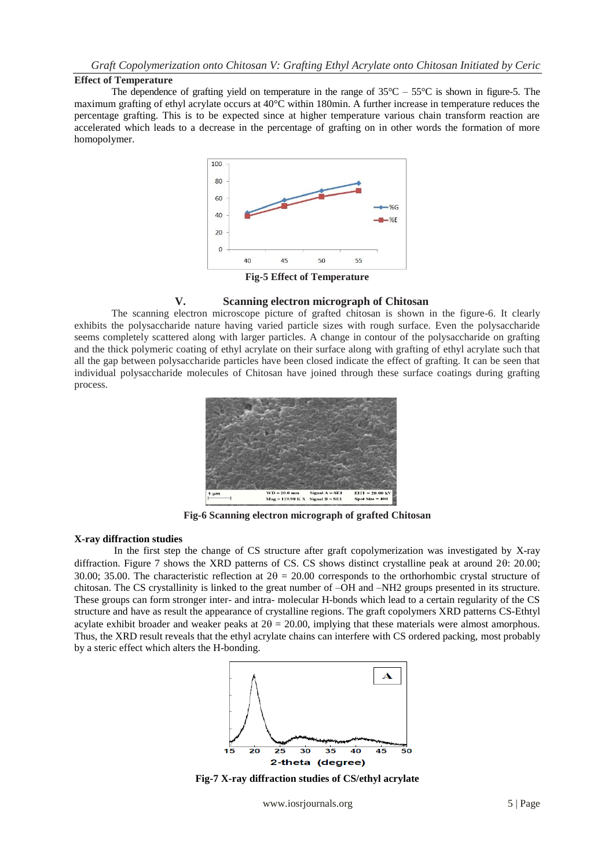# **Effect of Temperature**

The dependence of grafting yield on temperature in the range of  $35^{\circ}$ C –  $55^{\circ}$ C is shown in figure-5. The maximum grafting of ethyl acrylate occurs at 40°C within 180min. A further increase in temperature reduces the percentage grafting. This is to be expected since at higher temperature various chain transform reaction are accelerated which leads to a decrease in the percentage of grafting on in other words the formation of more homopolymer.



**Fig-5 Effect of Temperature**

# **V. Scanning electron micrograph of Chitosan**

The scanning electron microscope picture of grafted chitosan is shown in the figure-6. It clearly exhibits the polysaccharide nature having varied particle sizes with rough surface. Even the polysaccharide seems completely scattered along with larger particles. A change in contour of the polysaccharide on grafting and the thick polymeric coating of ethyl acrylate on their surface along with grafting of ethyl acrylate such that all the gap between polysaccharide particles have been closed indicate the effect of grafting. It can be seen that individual polysaccharide molecules of Chitosan have joined through these surface coatings during grafting process.



**Fig-6 Scanning electron micrograph of grafted Chitosan**

#### **X-ray diffraction studies**

In the first step the change of CS structure after graft copolymerization was investigated by X-ray diffraction. Figure 7 shows the XRD patterns of CS. CS shows distinct crystalline peak at around  $2\theta$ : 20.00; 30.00; 35.00. The characteristic reflection at  $2\theta = 20.00$  corresponds to the orthorhombic crystal structure of chitosan. The CS crystallinity is linked to the great number of –OH and –NH2 groups presented in its structure. These groups can form stronger inter- and intra- molecular H-bonds which lead to a certain regularity of the CS structure and have as result the appearance of crystalline regions. The graft copolymers XRD patterns CS-Ethtyl acylate exhibit broader and weaker peaks at  $2\theta = 20.00$ , implying that these materials were almost amorphous. Thus, the XRD result reveals that the ethyl acrylate chains can interfere with CS ordered packing, most probably by a steric effect which alters the H-bonding.



**Fig-7 X-ray diffraction studies of CS/ethyl acrylate**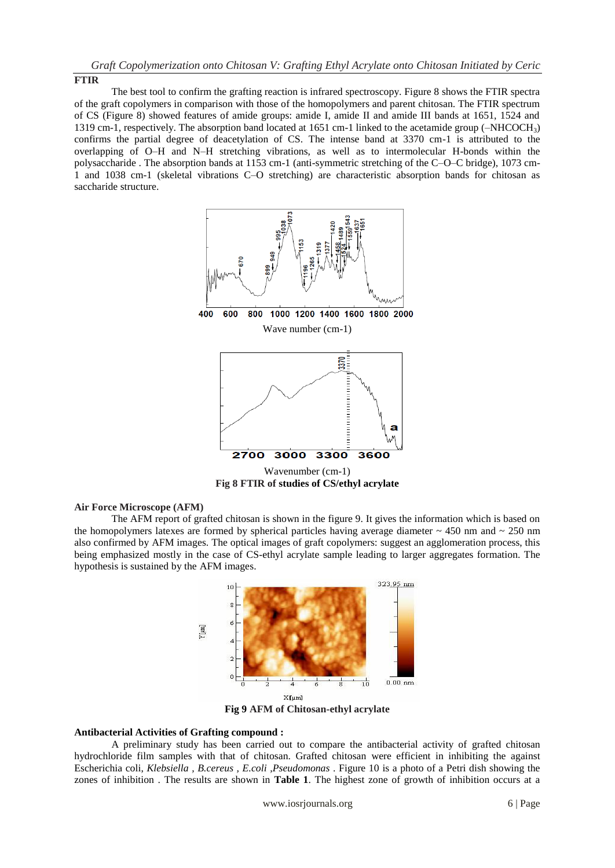### **FTIR**

The best tool to confirm the grafting reaction is infrared spectroscopy. Figure 8 shows the FTIR spectra of the graft copolymers in comparison with those of the homopolymers and parent chitosan. The FTIR spectrum of CS (Figure 8) showed features of amide groups: amide I, amide II and amide III bands at 1651, 1524 and 1319 cm-1, respectively. The absorption band located at 1651 cm-1 linked to the acetamide group (–NHCOCH3) confirms the partial degree of deacetylation of CS. The intense band at 3370 cm-1 is attributed to the overlapping of O–H and N–H stretching vibrations, as well as to intermolecular H-bonds within the polysaccharide . The absorption bands at 1153 cm-1 (anti-symmetric stretching of the C–O–C bridge), 1073 cm-1 and 1038 cm-1 (skeletal vibrations C–O stretching) are characteristic absorption bands for chitosan as saccharide structure.



**Fig 8 FTIR of studies of CS/ethyl acrylate**

# **Air Force Microscope (AFM)**

The AFM report of grafted chitosan is shown in the figure 9. It gives the information which is based on the homopolymers latexes are formed by spherical particles having average diameter  $\sim$  450 nm and  $\sim$  250 nm also confirmed by AFM images. The optical images of graft copolymers: suggest an agglomeration process, this being emphasized mostly in the case of CS-ethyl acrylate sample leading to larger aggregates formation. The hypothesis is sustained by the AFM images.



**Fig 9 AFM of Chitosan-ethyl acrylate**

### **Antibacterial Activities of Grafting compound :**

A preliminary study has been carried out to compare the antibacterial activity of grafted chitosan hydrochloride film samples with that of chitosan. Grafted chitosan were efficient in inhibiting the against Escherichia coli, *Klebsiella , B.cereus , E.coli ,Pseudomonas* . Figure 10 is a photo of a Petri dish showing the zones of inhibition . The results are shown in **Table 1**. The highest zone of growth of inhibition occurs at a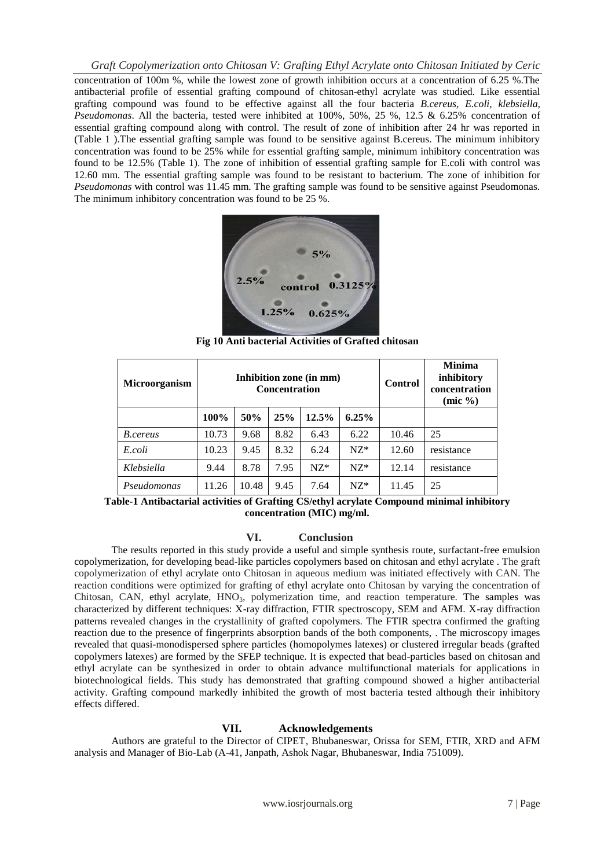concentration of 100m %, while the lowest zone of growth inhibition occurs at a concentration of 6.25 %.The antibacterial profile of essential grafting compound of chitosan-ethyl acrylate was studied. Like essential grafting compound was found to be effective against all the four bacteria *B.cereus, E.coli, klebsiella, Pseudomonas*. All the bacteria, tested were inhibited at 100%, 50%, 25 %, 12.5 & 6.25% concentration of essential grafting compound along with control. The result of zone of inhibition after 24 hr was reported in (Table 1 ).The essential grafting sample was found to be sensitive against B.cereus. The minimum inhibitory concentration was found to be 25% while for essential grafting sample, minimum inhibitory concentration was found to be 12.5% (Table 1). The zone of inhibition of essential grafting sample for E.coli with control was 12.60 mm. The essential grafting sample was found to be resistant to bacterium. The zone of inhibition for *Pseudomonas* with control was 11.45 mm. The grafting sample was found to be sensitive against Pseudomonas. The minimum inhibitory concentration was found to be 25 %.



**Fig 10 Anti bacterial Activities of Grafted chitosan**

| Microorganism | Inhibition zone (in mm)<br><b>Concentration</b> |       |      |       |          | <b>Control</b> | <b>Minima</b><br>inhibitory<br>concentration<br>$(mic \%)$ |
|---------------|-------------------------------------------------|-------|------|-------|----------|----------------|------------------------------------------------------------|
|               | 100%                                            | 50%   | 25%  | 12.5% | $6.25\%$ |                |                                                            |
| B.cereus      | 10.73                                           | 9.68  | 8.82 | 6.43  | 6.22     | 10.46          | 25                                                         |
| E.coli        | 10.23                                           | 9.45  | 8.32 | 6.24  | $NZ*$    | 12.60          | resistance                                                 |
| Klebsiella    | 9.44                                            | 8.78  | 7.95 | $NZ*$ | $NZ*$    | 12.14          | resistance                                                 |
| Pseudomonas   | 11.26                                           | 10.48 | 9.45 | 7.64  | $NZ*$    | 11.45          | 25                                                         |

**Table-1 Antibactarial activities of Grafting CS/ethyl acrylate Compound minimal inhibitory concentration (MIC) mg/ml.**

## **VI. Conclusion**

The results reported in this study provide a useful and simple synthesis route, surfactant-free emulsion copolymerization, for developing bead-like particles copolymers based on chitosan and ethyl acrylate . The graft copolymerization of ethyl acrylate onto Chitosan in aqueous medium was initiated effectively with CAN. The reaction conditions were optimized for grafting of ethyl acrylate onto Chitosan by varying the concentration of Chitosan, CAN, ethyl acrylate, HNO<sub>3</sub>, polymerization time, and reaction temperature. The samples was characterized by different techniques: X-ray diffraction, FTIR spectroscopy, SEM and AFM. X-ray diffraction patterns revealed changes in the crystallinity of grafted copolymers. The FTIR spectra confirmed the grafting reaction due to the presence of fingerprints absorption bands of the both components, . The microscopy images revealed that quasi-monodispersed sphere particles (homopolymes latexes) or clustered irregular beads (grafted copolymers latexes) are formed by the SFEP technique. It is expected that bead-particles based on chitosan and ethyl acrylate can be synthesized in order to obtain advance multifunctional materials for applications in biotechnological fields. This study has demonstrated that grafting compound showed a higher antibacterial activity. Grafting compound markedly inhibited the growth of most bacteria tested although their inhibitory effects differed.

# **VII. Acknowledgements**

Authors are grateful to the Director of CIPET, Bhubaneswar, Orissa for SEM, FTIR, XRD and AFM analysis and Manager of Bio-Lab (A-41, Janpath, Ashok Nagar, Bhubaneswar, India 751009).